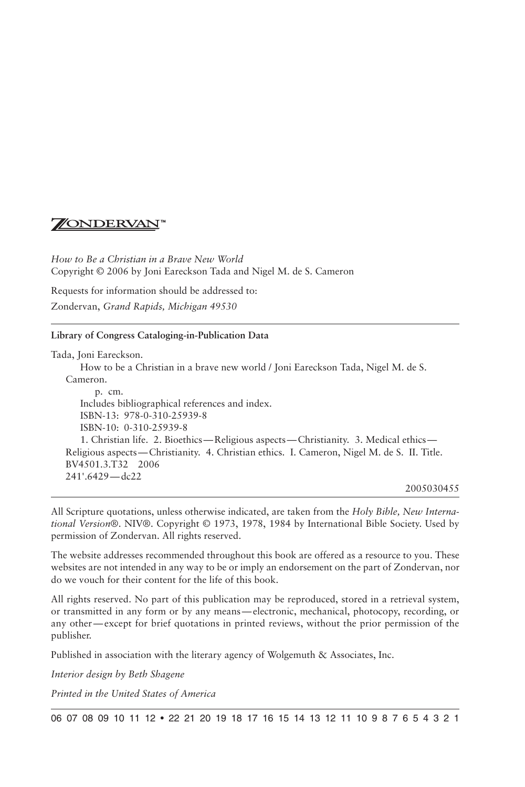## **ZONDERVAN**

*How to Be a Christian in a Brave New World* Copyright © 2006 by Joni Eareckson Tada and Nigel M. de S. Cameron

Requests for information should be addressed to: Zondervan, *Grand Rapids, Michigan 49530*

#### **Library of Congress Cataloging-in-Publication Data**

Tada, Joni Eareckson.

How to be a Christian in a brave new world / Joni Eareckson Tada, Nigel M. de S. Cameron. p. cm. Includes bibliographical references and index. ISBN-13: 978-0-310-25939-8 ISBN-10: 0-310-25939-8 1. Christian life. 2. Bioethics—Religious aspects—Christianity. 3. Medical ethics— Religious aspects—Christianity. 4. Christian ethics. I. Cameron, Nigel M. de S. II. Title. BV4501.3.T32 2006 241'.6429—dc22

2005030455

All Scripture quotations, unless otherwise indicated, are taken from the *Holy Bible, New International Version*®. NIV®. Copyright © 1973, 1978, 1984 by International Bible Society. Used by permission of Zondervan. All rights reserved.

The website addresses recommended throughout this book are offered as a resource to you. These websites are not intended in any way to be or imply an endorsement on the part of Zondervan, nor do we vouch for their content for the life of this book.

All rights reserved. No part of this publication may be reproduced, stored in a retrieval system, or transmitted in any form or by any means—electronic, mechanical, photocopy, recording, or any other—except for brief quotations in printed reviews, without the prior permission of the publisher.

Published in association with the literary agency of Wolgemuth & Associates, Inc.

*Interior design by Beth Shagene*

*Printed in the United States of America*

06 07 08 09 10 11 12 • 22 21 20 19 18 17 16 15 14 13 12 11 10 9 8 7 6 5 4 3 2 1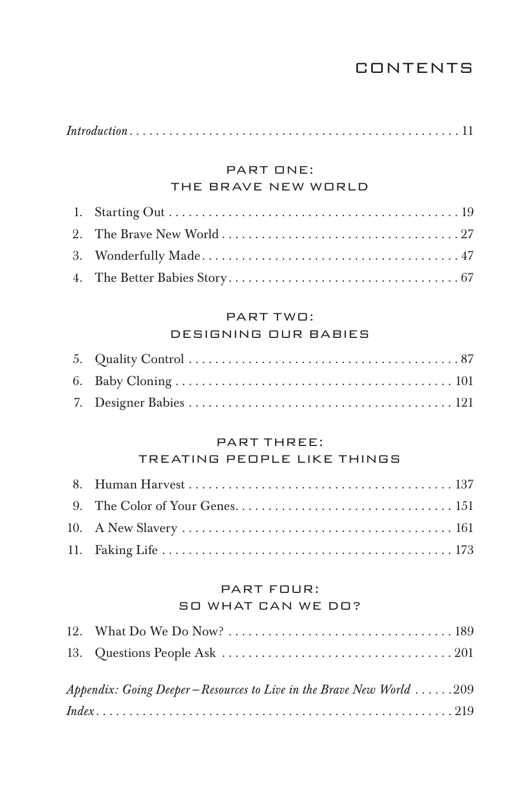# **CONTENTS**

#### PART ONE:

#### The Brave New World

#### Part Two:

#### Designing Our Babies

#### Part Three:

#### Treating People Like Things

#### Part Four:

#### SO WHAT CAN WE DO?

| Appendix: Going Deeper-Resources to Live in the Brave New World $\ldots \ldots 209$ |  |  |
|-------------------------------------------------------------------------------------|--|--|
|                                                                                     |  |  |
|                                                                                     |  |  |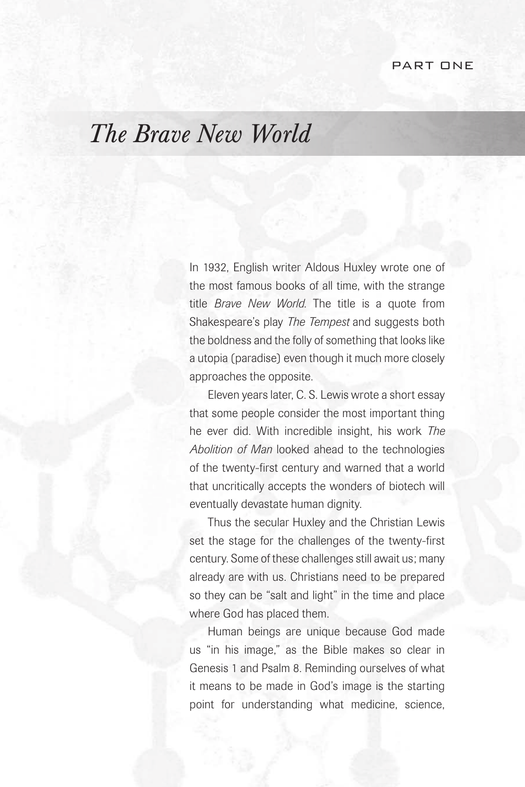#### Part One

# *The Brave New World*

In 1932, English writer Aldous Huxley wrote one of the most famous books of all time, with the strange title *Brave New World*. The title is a quote from Shakespeare's play *The Tempest* and suggests both the boldness and the folly of something that looks like a utopia (paradise) even though it much more closely approaches the opposite.

Eleven years later, C. S. Lewis wrote a short essay that some people consider the most important thing he ever did. With incredible insight, his work *The Abolition of Man* looked ahead to the technologies of the twenty-first century and warned that a world that uncritically accepts the wonders of biotech will eventually devastate human dignity.

Thus the secular Huxley and the Christian Lewis set the stage for the challenges of the twenty-first century. Some of these challenges still await us; many already are with us. Christians need to be prepared so they can be "salt and light" in the time and place where God has placed them.

Human beings are unique because God made us "in his image," as the Bible makes so clear in Genesis 1 and Psalm 8. Reminding ourselves of what it means to be made in God's image is the starting point for understanding what medicine, science,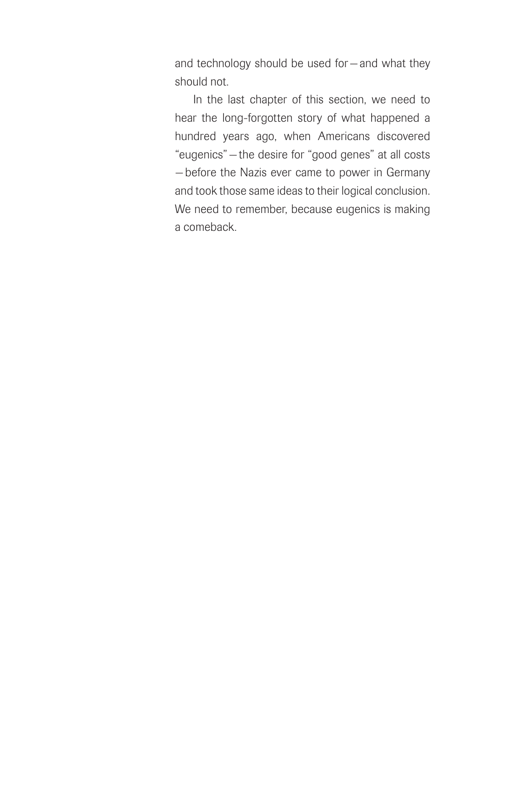and technology should be used for—and what they should not.

In the last chapter of this section, we need to hear the long-forgotten story of what happened a hundred years ago, when Americans discovered "eugenics"—the desire for "good genes" at all costs —before the Nazis ever came to power in Germany and took those same ideas to their logical conclusion. We need to remember, because eugenics is making a comeback.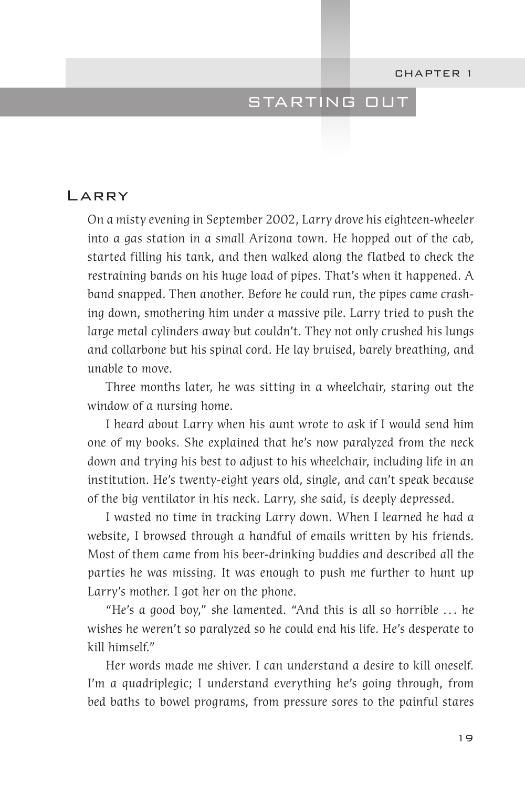# Starting Out

#### Larry

On a misty evening in September 2002, Larry drove his eighteen-wheeler into a gas station in a small Arizona town. He hopped out of the cab, started filling his tank, and then walked along the flatbed to check the restraining bands on his huge load of pipes. That's when it happened. A band snapped. Then another. Before he could run, the pipes came crashing down, smothering him under a massive pile. Larry tried to push the large metal cylinders away but couldn't. They not only crushed his lungs and collarbone but his spinal cord. He lay bruised, barely breathing, and unable to move.

Three months later, he was sitting in a wheelchair, staring out the window of a nursing home.

I heard about Larry when his aunt wrote to ask if I would send him one of my books. She explained that he's now paralyzed from the neck down and trying his best to adjust to his wheelchair, including life in an institution. He's twenty-eight years old, single, and can't speak because of the big ventilator in his neck. Larry, she said, is deeply depressed.

I wasted no time in tracking Larry down. When I learned he had a website, I browsed through a handful of emails written by his friends. Most of them came from his beer-drinking buddies and described all the parties he was missing. It was enough to push me further to hunt up Larry's mother. I got her on the phone.

"He's a good boy," she lamented. "And this is all so horrible ... he wishes he weren't so paralyzed so he could end his life. He's desperate to kill himself."

Her words made me shiver. I can understand a desire to kill oneself. I'm a quadriplegic; I understand everything he's going through, from bed baths to bowel programs, from pressure sores to the painful stares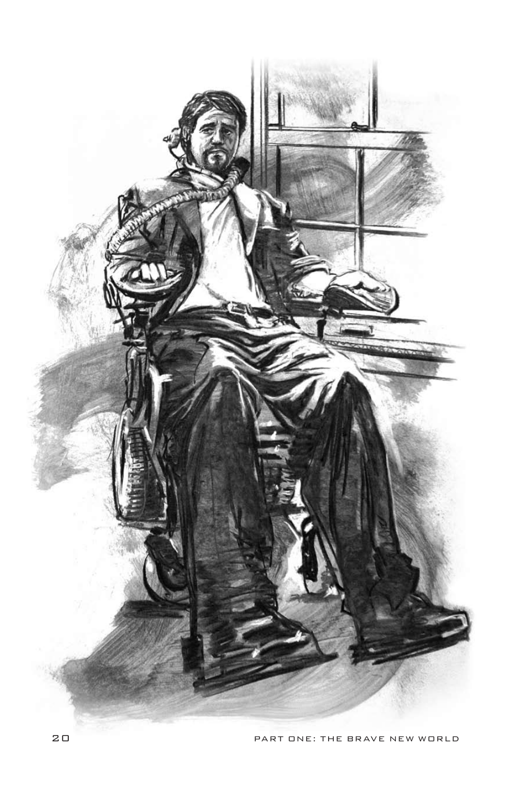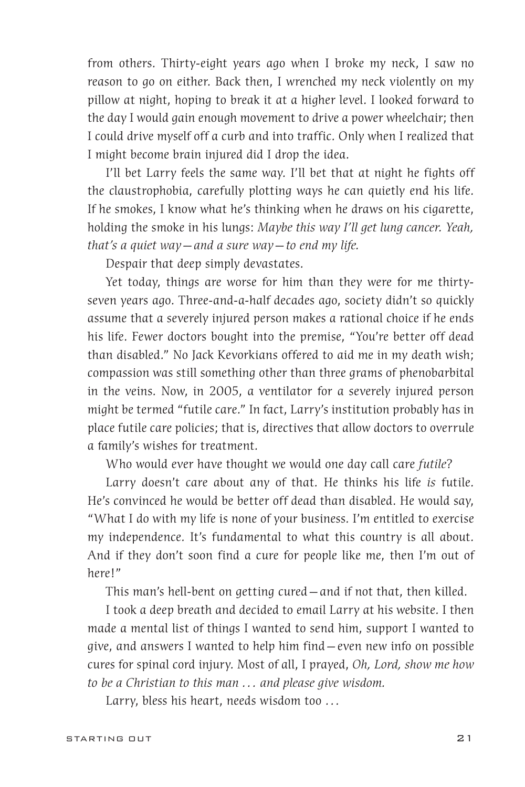from others. Thirty-eight years ago when I broke my neck, I saw no reason to go on either. Back then, I wrenched my neck violently on my pillow at night, hoping to break it at a higher level. I looked forward to the day I would gain enough movement to drive a power wheelchair; then I could drive myself off a curb and into traffic. Only when I realized that I might become brain injured did I drop the idea.

I'll bet Larry feels the same way. I'll bet that at night he fights off the claustrophobia, carefully plotting ways he can quietly end his life. If he smokes, I know what he's thinking when he draws on his cigarette, holding the smoke in his lungs: *Maybe this way I'll get lung cancer. Yeah, that's a quiet way—and a sure way—to end my life.*

Despair that deep simply devastates.

Yet today, things are worse for him than they were for me thirtyseven years ago. Three-and-a-half decades ago, society didn't so quickly assume that a severely injured person makes a rational choice if he ends his life. Fewer doctors bought into the premise, "You're better off dead than disabled." No Jack Kevorkians offered to aid me in my death wish; compassion was still something other than three grams of phenobarbital in the veins. Now, in 2005, a ventilator for a severely injured person might be termed "futile care." In fact, Larry's institution probably has in place futile care policies; that is, directives that allow doctors to overrule a family's wishes for treatment.

Who would ever have thought we would one day call care *futile*?

Larry doesn't care about any of that. He thinks his life *is* futile. He's convinced he would be better off dead than disabled. He would say, "What I do with my life is none of your business. I'm entitled to exercise my independence. It's fundamental to what this country is all about. And if they don't soon find a cure for people like me, then I'm out of here!"

This man's hell-bent on getting cured—and if not that, then killed.

I took a deep breath and decided to email Larry at his website. I then made a mental list of things I wanted to send him, support I wanted to give, and answers I wanted to help him find—even new info on possible cures for spinal cord injury. Most of all, I prayed, *Oh, Lord, show me how to be a Christian to this man ... and please give wisdom.*

Larry, bless his heart, needs wisdom too ...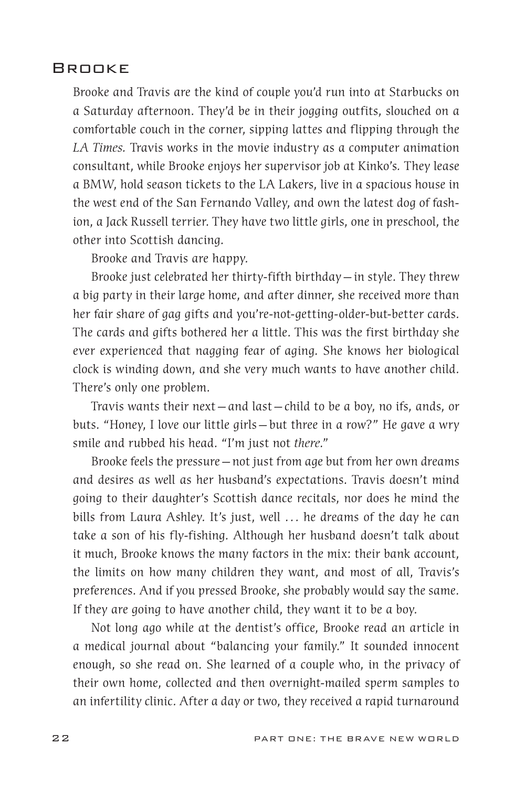## **BROOKE**

Brooke and Travis are the kind of couple you'd run into at Starbucks on a Saturday afternoon. They'd be in their jogging outfits, slouched on a comfortable couch in the corner, sipping lattes and flipping through the *LA Times.* Travis works in the movie industry as a computer animation consultant, while Brooke enjoys her supervisor job at Kinko's*.* They lease a BMW, hold season tickets to the LA Lakers, live in a spacious house in the west end of the San Fernando Valley, and own the latest dog of fashion, a Jack Russell terrier. They have two little girls, one in preschool, the other into Scottish dancing.

Brooke and Travis are happy.

Brooke just celebrated her thirty-fifth birthday—in style. They threw a big party in their large home, and after dinner, she received more than her fair share of gag gifts and you're-not-getting-older-but-better cards. The cards and gifts bothered her a little. This was the first birthday she ever experienced that nagging fear of aging. She knows her biological clock is winding down, and she very much wants to have another child. There's only one problem.

Travis wants their next—and last—child to be a boy, no ifs, ands, or buts. "Honey, I love our little girls—but three in a row?" He gave a wry smile and rubbed his head. "I'm just not *there*."

Brooke feels the pressure—not just from age but from her own dreams and desires as well as her husband's expectations. Travis doesn't mind going to their daughter's Scottish dance recitals, nor does he mind the bills from Laura Ashley. It's just, well ... he dreams of the day he can take a son of his fly-fishing. Although her husband doesn't talk about it much, Brooke knows the many factors in the mix: their bank account, the limits on how many children they want, and most of all, Travis's preferences. And if you pressed Brooke, she probably would say the same. If they are going to have another child, they want it to be a boy.

Not long ago while at the dentist's office, Brooke read an article in a medical journal about "balancing your family." It sounded innocent enough, so she read on. She learned of a couple who, in the privacy of their own home, collected and then overnight-mailed sperm samples to an infertility clinic. After a day or two, they received a rapid turnaround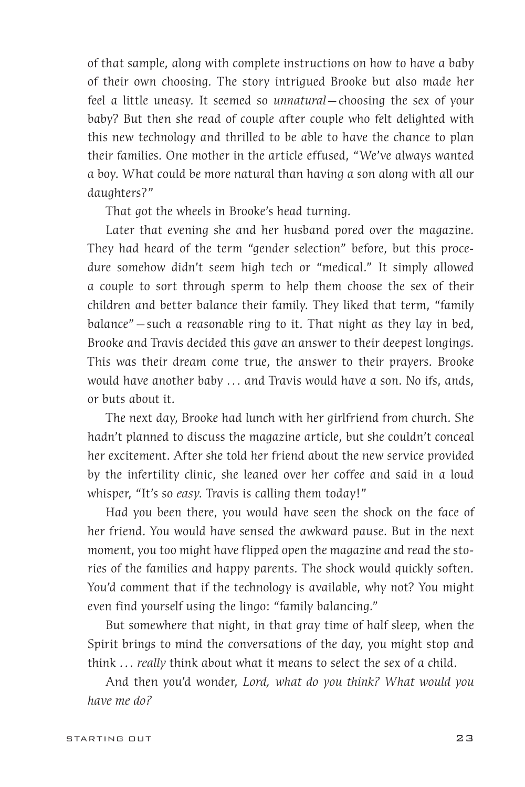of that sample, along with complete instructions on how to have a baby of their own choosing. The story intrigued Brooke but also made her feel a little uneasy. It seemed so *unnatural—*choosing the sex of your baby? But then she read of couple after couple who felt delighted with this new technology and thrilled to be able to have the chance to plan their families. One mother in the article effused, "We've always wanted a boy. What could be more natural than having a son along with all our daughters?"

That got the wheels in Brooke's head turning.

Later that evening she and her husband pored over the magazine. They had heard of the term "gender selection" before, but this procedure somehow didn't seem high tech or "medical." It simply allowed a couple to sort through sperm to help them choose the sex of their children and better balance their family. They liked that term, "family balance"—such a reasonable ring to it. That night as they lay in bed, Brooke and Travis decided this gave an answer to their deepest longings. This was their dream come true, the answer to their prayers. Brooke would have another baby ... and Travis would have a son. No ifs, ands, or buts about it.

The next day, Brooke had lunch with her girlfriend from church. She hadn't planned to discuss the magazine article, but she couldn't conceal her excitement. After she told her friend about the new service provided by the infertility clinic, she leaned over her coffee and said in a loud whisper, "It's so *easy*. Travis is calling them today!"

Had you been there, you would have seen the shock on the face of her friend. You would have sensed the awkward pause. But in the next moment, you too might have flipped open the magazine and read the stories of the families and happy parents. The shock would quickly soften. You'd comment that if the technology is available, why not? You might even find yourself using the lingo: "family balancing."

But somewhere that night, in that gray time of half sleep, when the Spirit brings to mind the conversations of the day, you might stop and think ... *really* think about what it means to select the sex of a child.

And then you'd wonder, *Lord, what do you think? What would you have me do?*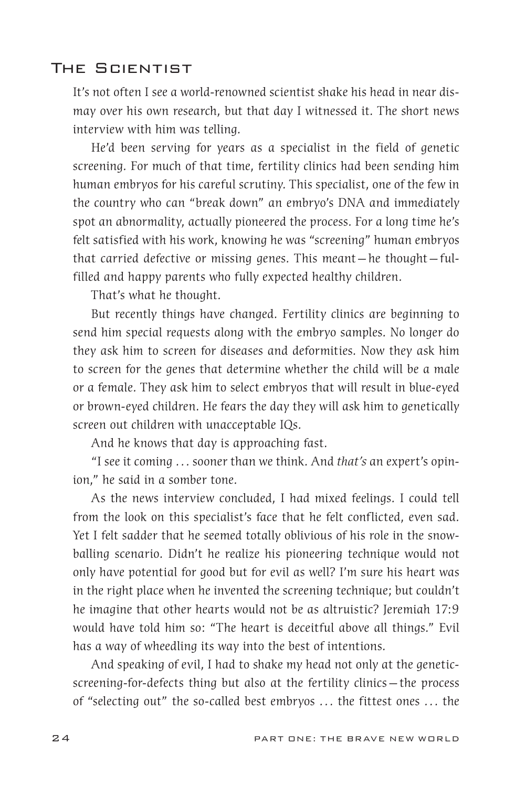## The Scientist

It's not often I see a world-renowned scientist shake his head in near dismay over his own research, but that day I witnessed it. The short news interview with him was telling.

He'd been serving for years as a specialist in the field of genetic screening. For much of that time, fertility clinics had been sending him human embryos for his careful scrutiny. This specialist, one of the few in the country who can "break down" an embryo's DNA and immediately spot an abnormality, actually pioneered the process. For a long time he's felt satisfied with his work, knowing he was "screening" human embryos that carried defective or missing genes. This meant—he thought—fulfilled and happy parents who fully expected healthy children.

That's what he thought.

But recently things have changed. Fertility clinics are beginning to send him special requests along with the embryo samples. No longer do they ask him to screen for diseases and deformities. Now they ask him to screen for the genes that determine whether the child will be a male or a female. They ask him to select embryos that will result in blue-eyed or brown-eyed children. He fears the day they will ask him to genetically screen out children with unacceptable IQs.

And he knows that day is approaching fast.

"I see it coming ... sooner than we think. And *that's* an expert's opinion," he said in a somber tone.

As the news interview concluded, I had mixed feelings. I could tell from the look on this specialist's face that he felt conflicted, even sad. Yet I felt sadder that he seemed totally oblivious of his role in the snowballing scenario. Didn't he realize his pioneering technique would not only have potential for good but for evil as well? I'm sure his heart was in the right place when he invented the screening technique; but couldn't he imagine that other hearts would not be as altruistic? Jeremiah 17:9 would have told him so: "The heart is deceitful above all things." Evil has a way of wheedling its way into the best of intentions.

And speaking of evil, I had to shake my head not only at the geneticscreening-for-defects thing but also at the fertility clinics—the process of "selecting out" the so-called best embryos ... the fittest ones ... the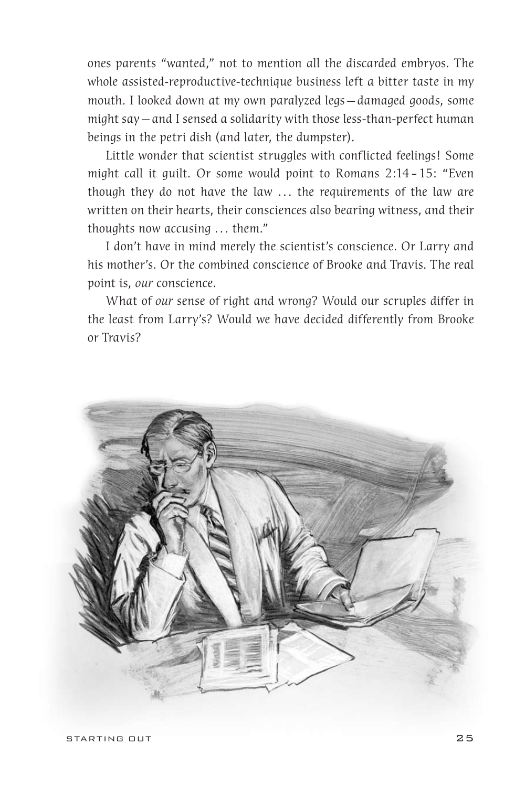ones parents "wanted," not to mention all the discarded embryos. The whole assisted-reproductive-technique business left a bitter taste in my mouth. I looked down at my own paralyzed legs—damaged goods, some might say—and I sensed a solidarity with those less-than-perfect human beings in the petri dish (and later, the dumpster).

Little wonder that scientist struggles with conflicted feelings! Some might call it guilt. Or some would point to Romans 2:14–15: "Even though they do not have the law ... the requirements of the law are written on their hearts, their consciences also bearing witness, and their thoughts now accusing ... them."

I don't have in mind merely the scientist's conscience. Or Larry and his mother's. Or the combined conscience of Brooke and Travis. The real point is, *our* conscience.

What of *our* sense of right and wrong? Would our scruples differ in the least from Larry's? Would we have decided differently from Brooke or Travis?